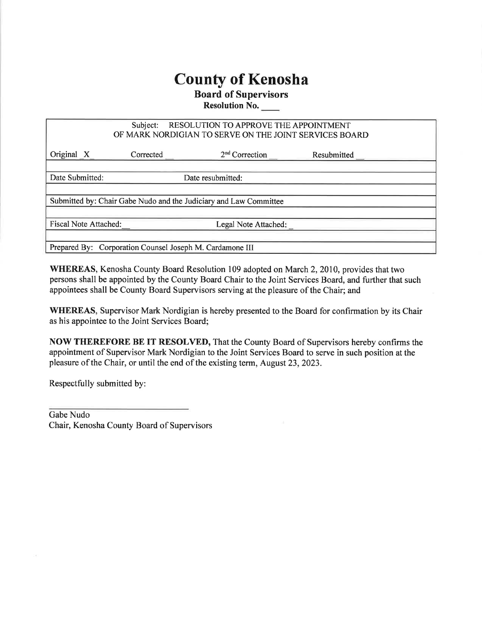## County of Kenosha

## Board of Supervisors

Resolution No.

| RESOLUTION TO APPROVE THE APPOINTMENT<br>Subject:                 |                   |                      |             |  |  |  |  |
|-------------------------------------------------------------------|-------------------|----------------------|-------------|--|--|--|--|
| OF MARK NORDIGIAN TO SERVE ON THE JOINT SERVICES BOARD            |                   |                      |             |  |  |  |  |
|                                                                   |                   |                      |             |  |  |  |  |
| Original X                                                        | Corrected         | $2nd$ Correction     | Resubmitted |  |  |  |  |
|                                                                   |                   |                      |             |  |  |  |  |
| Date Submitted:                                                   | Date resubmitted: |                      |             |  |  |  |  |
|                                                                   |                   |                      |             |  |  |  |  |
| Submitted by: Chair Gabe Nudo and the Judiciary and Law Committee |                   |                      |             |  |  |  |  |
|                                                                   |                   |                      |             |  |  |  |  |
| <b>Fiscal Note Attached:</b>                                      |                   | Legal Note Attached: |             |  |  |  |  |
|                                                                   |                   |                      |             |  |  |  |  |
| Prepared By: Corporation Counsel Joseph M. Cardamone III          |                   |                      |             |  |  |  |  |

WHEREAS, Kenosha County Board Resolution 109 adopted on March 2, 2010, provides that two persons shall be appointed by the County Board Chair to the Joint Services Board, and further that such appointees shall be County Board Supervisors serving at the pleasure of the Chair; and

WHEREAS, Supervisor Mark Nordigian is hereby presented to the Board for confirmation by its Chair as his appointee to the Joint Services Board;

NOW THEREFORE BE IT RESOLVED, That the County Board of Supervisors hereby confirms the appointment of Supervisor Mark Nordigian to the Joint Services Board to serve in such position at the pleasure of the Chair, or until the end of the existing term, August23,2023.

Respectfully submitted by:

Gabe Nudo Chair, Kenosha County Board of Supervisors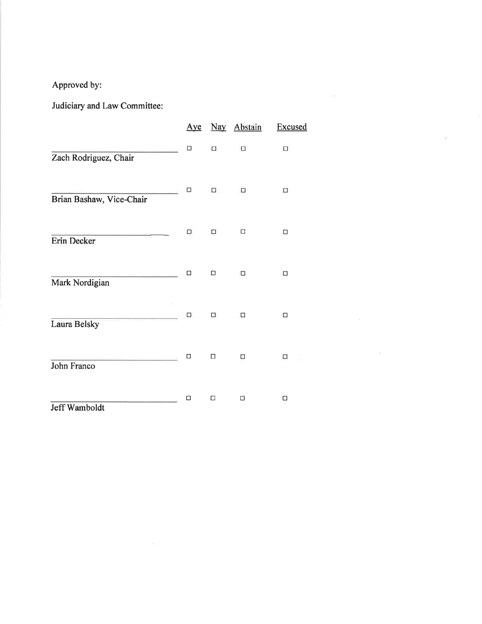Approved by:

Judiciary and Law Committee:

|                          | <u>Aye</u> |        | Nay Abstain | <b>Excused</b> |
|--------------------------|------------|--------|-------------|----------------|
| Zach Rodriguez, Chair    | $\Box$     | $\Box$ | $\Box$      | $\Box$         |
| Brian Bashaw, Vice-Chair | $\Box$     | Ω      | α           | α              |
| Erin Decker              | □          | □      | $\Box$      | $\Box$         |
| Mark Nordigian           | □          | $\Box$ | $\Box$      | $\Box$         |
| Laura Belsky             | α          | 0      | □           | $\Box$         |
| John Franco              | $\Box$     | $\Box$ | Ω           | Ω              |
| Jeff Wamboldt            | □          | □      | $\Box$      | α              |

 $\mathbf{z} = \mathbf{z}$  , where  $\mathbf{z} = \mathbf{z}$ 

 $\{ \hat{w} \}$  .

 $\tilde{\chi}^{\pm}_{\rm C}$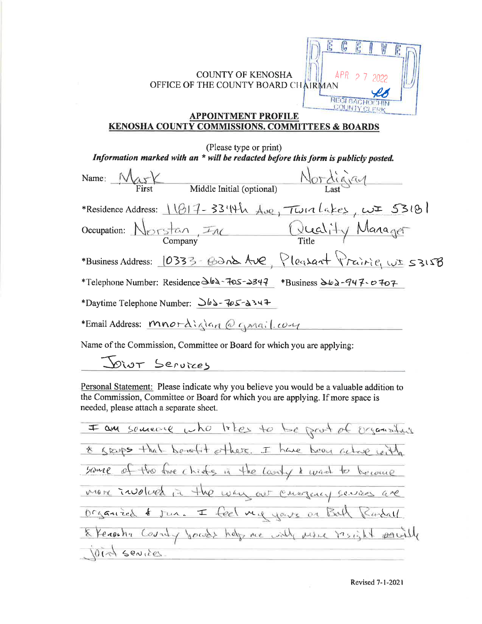

## **APPOINTMENT PROFILE** KENOSHA COUNTY COMMISSIONS. COMMITTEES & BOARDS

| (Please type or print)                                                             |  |  |  |  |  |  |
|------------------------------------------------------------------------------------|--|--|--|--|--|--|
| Information marked with an * will be redacted before this form is publicly posted. |  |  |  |  |  |  |
| Nordigian<br>Name: $MaxY$<br>Middle Initial (optional)<br>First                    |  |  |  |  |  |  |
| *Residence Address: 11817-3344h Ave, Twinlakes, wE 53181                           |  |  |  |  |  |  |
| Occupation: Norstan, Inc Quality Manager                                           |  |  |  |  |  |  |
| *Business Address: 0333 - Gand Ave, Pleasant Prairie, wI 5315B                     |  |  |  |  |  |  |
| *Telephone Number: Residence 362-705-2347 *Business 362-947-0707                   |  |  |  |  |  |  |
| *Daytime Telephone Number: $\Delta b$ = $705 - 2347$                               |  |  |  |  |  |  |
| *Email Address: Mnordiglan @ gmail.com                                             |  |  |  |  |  |  |
|                                                                                    |  |  |  |  |  |  |

Name of the Commission, Committee or Board for which you are applying:

Diut Services

Personal Statement: Please indicate why you believe you would be a valuable addition to the Commission, Committee or Board for which you are applying. If more space is needed, please attach a separate sheet,

I am sourcine who likes to be prot of organization same of the five chiefs in the lanty & wad to become & Kicups that be refit others. I have been active with more involved in the way out cauguay services are organized  $k$  jus.  $I$  feel my years or Both the County found help me will prise to  $0(r + 50)(18)$ 

Revised 1-l-2O21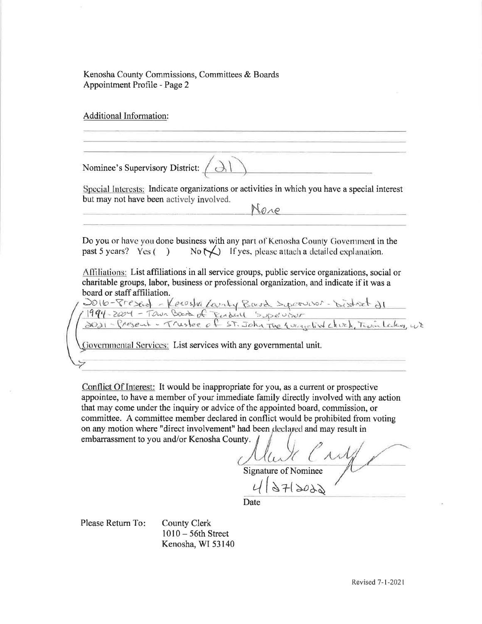Kenosha County Commissions, Committees & Boards Appointment Profile - Page 2

Additional Information:

Nominee's Supervisory District:

Special Interests: Indicate organizations or activities in which you have a special interest but may not have been actively involved.

 $\rightarrow$ l

Nare

Do you or have you done business with any part of Kenosha County Government in the past 5 years? Yes ( ) No  $\bigwedge$  If yes, please attach a detailed explanation.

Alliliations: List affiliations in all service groups, public service organizations, social or charitable groups, labor, business or professional organization, and indicate if it was a

board or staff affiliation.<br>2016-81extud - Kerosha Lanty Board Speruson. 994-2004 - Town Bard of Ender Supervisor<br>1021 - Present - Trustee of ST. John The Wingelist clivek, Twin Lesky, w)

Governmental Services: List services with any governmental unit.

Conflict Of Interest: It would be inappropriate for you, as a cunent or prospective appointee, to have a member of your immediate family directly involved with any action that may come under the inquiry or advice of the appointed board, commission, or committee. A committee member declared in conflict would be prohibited from voting on any motion where "direct involvement" had been declared and may result in embarrassment to you and/or Kenosha County.

*NuX Cry* 

 $4 | 27 | 3022$ 

Date

Please Return To

County Clerk l0l0 - 56th Street Kenosha, WI 53140